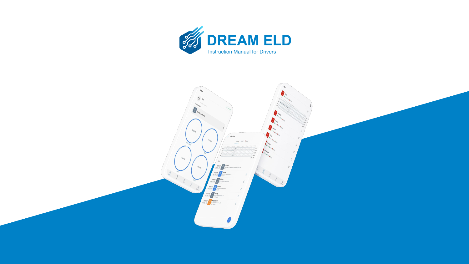

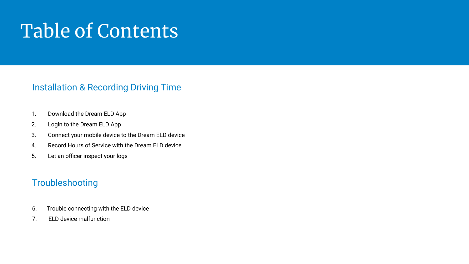# Table of Contents

# Installation & Recording Driving Time

- 1. Download the Dream ELD App
- 2. Login to the Dream ELD App
- 3. Connect your mobile device to the Dream ELD device
- 4. Record Hours of Service with the Dream ELD device
- 5. Let an officer inspect your logs

# **Troubleshooting**

- 6. Trouble connecting with the ELD device
- 7. ELD device malfunction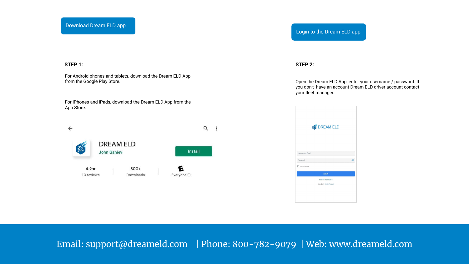# **STEP 1:**

For Android phones and tablets, download the Dream ELD App from the Google Play Store.

For iPhones and iPads, download the Dream ELD App from the App Store.



# Login to the Dream ELD app

## **STEP 2:**

Open the Dream ELD App, enter your username / password. If you don't have an account Dream ELD driver account contact your fleet manager.

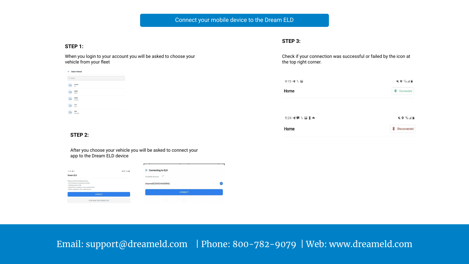# Connect your mobile device to the Dream ELD

# **STEP 1:**

When you login to your account you will be asked to choose your vehicle from your fleet

|                          | $\leftarrow$ Select Vehicle |  |  |
|--------------------------|-----------------------------|--|--|
| Q Search                 |                             |  |  |
|                          | Lexus<br>67                 |  |  |
|                          | <b>S580</b><br>\$580        |  |  |
|                          | E300<br>Edam                |  |  |
| $\overline{\phantom{a}}$ | 101<br>760                  |  |  |
| $\overline{a}$           | 555<br>Cascadi              |  |  |

## **STEP 3:**

Check if your connection was successful or failed by the icon at the top right corner.

| $9:15 - 11$                                                   | <b>NO GALL</b> |
|---------------------------------------------------------------|----------------|
| Home                                                          | Connected      |
|                                                               |                |
|                                                               |                |
| $9:24$ $4$ $\blacksquare$ 1 $\blacksquare$ 1 $\blacktriangle$ | <b>NOSAR</b>   |

# **STEP 2:**

After you choose your vehicle you will be asked to connect your app to the Dream ELD device

| <b>KO</b> Guilla<br>$9:14$ $-4$ $1$                                                                                                                                                             | X Connecting to ELD    |  |
|-------------------------------------------------------------------------------------------------------------------------------------------------------------------------------------------------|------------------------|--|
| Dream ELD                                                                                                                                                                                       | C<br>Available devices |  |
| Please verify the following items:<br>- ELD hardware is properly installed.<br>- Vehicle power is ON.<br>- Bluetooth is enabled on the mobile device.<br>- GPS is enabled on the mobile device. | dreameld(30AEA4A66B46) |  |
| CONNECT                                                                                                                                                                                         | <b>CONNECT</b>         |  |
| CONTINUE DISCONNECTED                                                                                                                                                                           | ö<br>m                 |  |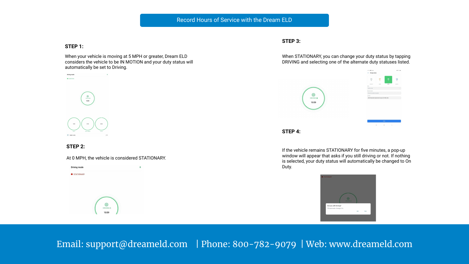# Record Hours of Service with the Dream ELD

#### **STEP 1:**

When your vehicle is moving at 5 MPH or greater, Dream ELD considers the vehicle to be IN MOTION and your duty status will automatically be set to Driving.



#### **STEP 2:**

At 0 MPH, the vehicle is considered STATIONARY.

香

Driving mode STATIONARY

6

DRIVING @ 10:59

## **STEP 3:**

When STATIONARY, you can change your duty status by tapping DRIVING and selecting one of the alternate duty statuses listed.





If the vehicle remains STATIONARY for five minutes, a pop-up window will appear that asks if you still driving or not. If nothing is selected, your duty status will automatically be changed to On Duty.

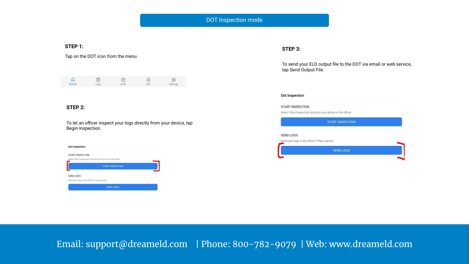# DOT Inspection mode

## **STEP 1:**

Tap on the DOT icon from the menu.

| ⋒    | ó    | ⊜           | ७               | ස        |
|------|------|-------------|-----------------|----------|
| Home | Logs | <b>DVIR</b> | DO <sup>-</sup> | Settings |

# **STEP 2:**

To let an officer inspect your logs directly from your device, tap Begin Inspection.

| Dot Inspection                                |                                                               |  |
|-----------------------------------------------|---------------------------------------------------------------|--|
| <b>START INSPECTION</b>                       |                                                               |  |
|                                               | Select 'Start Inspection' and give your device to the officer |  |
|                                               | <b>START INSPECTION</b>                                       |  |
| SEND LOGS                                     |                                                               |  |
| Send your logs to the officer if they request |                                                               |  |
|                                               | <b>SEND LOGS</b>                                              |  |

# **STEP 3:**

To send your ELD output file to the DOT via email or web service, tap Send Output File.

#### Dot Inspection

#### **START INSPECTION**

Select 'Start Inspection' and give your device to the officer

| <b>START INSPECTION</b>                       |  |
|-----------------------------------------------|--|
| <b>SEND LOGS</b>                              |  |
| Send your logs to the officer if they request |  |
| <b>SEND LOGS</b>                              |  |
|                                               |  |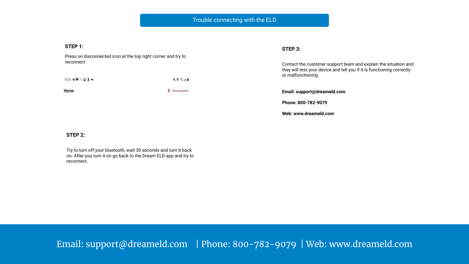#### **STEP 1:**

Press on disconnected icon at the top right corner and try to reconnect

**KO Salah**  $9:24$  4  $\blacksquare$  1  $\blacksquare$  1  $\blacktriangle$ 

Home

**\*** Disconnected

# **STEP 3:**

Contact the customer support team and explain the situation and they will test your device and tell you if it is functioning correctly or malfunctioning.

**Email: support@dreameld.com**

**Phone: 800-782-9079**

**Web: www.dreameld.com**

# **STEP 2:**

Try to turn off your bluetooth, wait 30 seconds and turn it back on. After you turn it on go back to the Dream ELD app and try to reconnect.